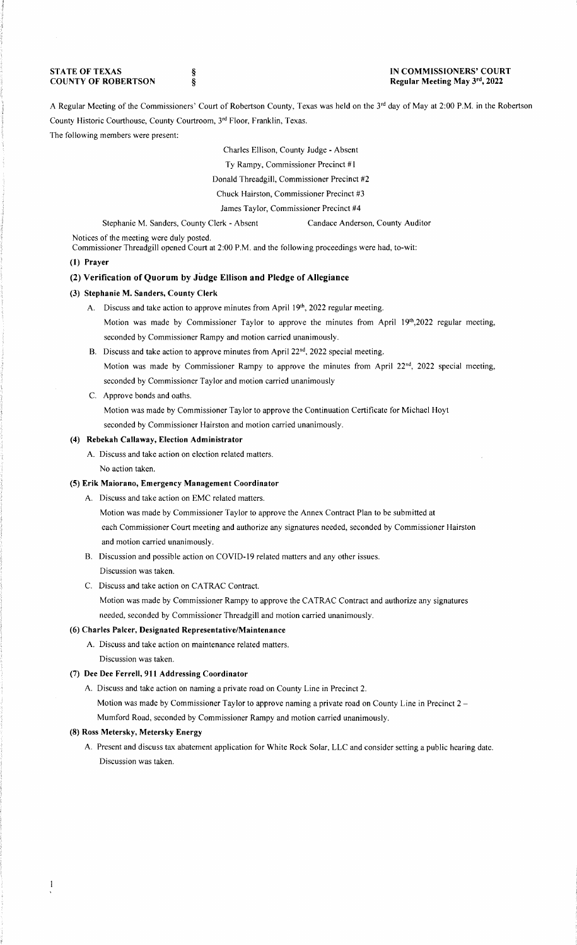**STATE OF TEXAS COUNTY OF ROBERTSON** 

§ §

### **IN COMMISSIONERS' COURT Regular Meeting May 3rd, 2022**

A Regular Meeting of the Commissioners' Court of Robertson County, Texas was held on the 3<sup>rd</sup> day of May at 2:00 P.M. in the Robertson County Historic Courthouse, County Courtroom, 3rd Floor, Franklin, Texas.

### The following members were present:

Charles Ellison, County Judge - Absent

Ty Rampy, Commissioner Precinct #I

Donald Threadgill, Commissioner Precinct #2

Chuck Hairston, Commissioner Precinct #3

James Taylor, Commissioner Precinct **#4** 

Stephanie M. Sanders, County Clerk - Absent Candace Anderson, County Auditor

Notices of the meeting were duly posted.

Commissioner Threadgill opened Court at 2:00 P.M. and the following proceedings were had, to-wit:

### **(1) Prayer**

# **(2) Verification of Quorum by Judge Ellison and Pledge of Allegiance**

#### **(3) Stephanie M. Sanders, County Clerk**

- A. Discuss and take action to approve minutes from April 19th, 2022 regular meeting. Motion was made by Commissioner Taylor to approve the minutes from April 19th,2022 regular meeting, seconded by Commissioner Rampy and motion carried unanimously.
- B. Discuss and take action to approve minutes from April 22<sup>nd</sup>, 2022 special meeting. Motion was made by Commissioner Rampy to approve the minutes from April 22<sup>nd</sup>, 2022 special meeting, seconded by Commissioner Taylor and motion carried unanimously
- C. Approve bonds and oaths.

Motion was made by Commissioner Taylor to approve the Continuation Certificate for Michael Hoyt seconded by Commissioner Hairston and motion carried unanimously.

# **(4) Rebekah Callaway, Election Administrator**

A. Discuss and take action on election related matters.

No action taken.

# **(5) Erik Maiorano, Emergency Management Coordinator**

- A. Discuss and take action on EMC related matters.
	- Motion was made by Commissioner Taylor to approve the Annex Contract Plan to be submitted at each Commissioner Court meeting and authorize any signatures needed, seconded by Commissioner Hairston and motion carried unanimously.
- B. Discussion and possible action on COVID-19 related matters and any other issues. Discussion was taken.

### C. Discuss and take action on CA TRAC Contract.

Motion was made by Commissioner Rampy to approve the CA TRAC Contract and authorize any signatures needed, seconded by Commissioner Threadgill and motion carried unanimously.

# **(6) Charles Paker, Designated Representative/Maintenance**

- A. Discuss and take action on maintenance related matters.
- Discussion was taken.

### (7) **Dee Dee Ferrell, 911 Addressing Coordinator**

A. Discuss and take action on naming a private road on County Line in Precinct 2.

Motion was made by Commissioner Taylor to approve naming a private road on County Line in Precinct 2 –

Mumford Road, seconded by Commissioner Rampy and motion carried unanimously.

# **(8) Ross Metersky, Metersky Energy**

A. Present and discuss tax abatement application for White Rock Solar, LLC and consider setting a public hearing date. Discussion was taken.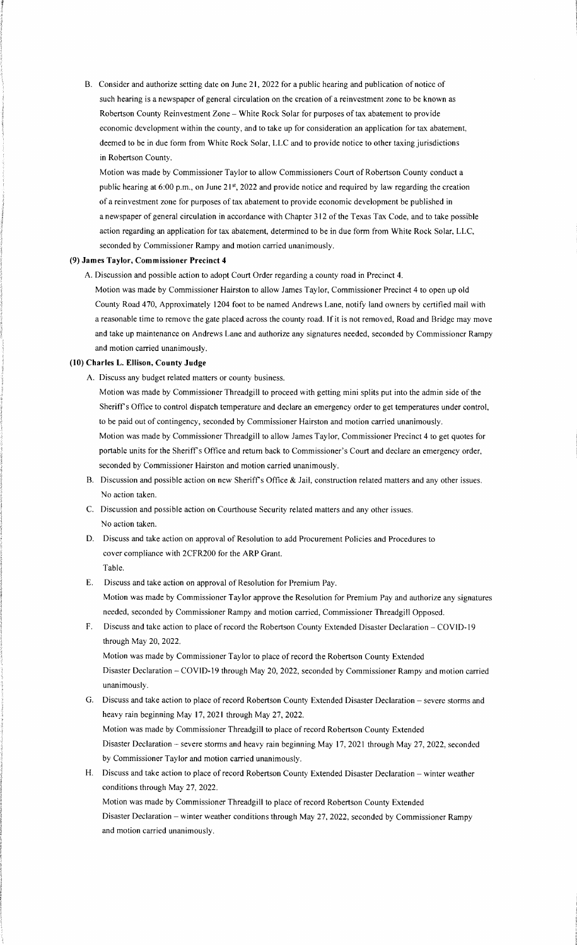B. Consider and authorize setting date on June 21, 2022 for a public hearing and publication of notice of such hearing is a newspaper of general circulation on the creation of a reinvestment zone to be known as Robertson County Reinvestment Zone - White Rock Solar for purposes of tax abatement to provide economic development within the county, and to take up for consideration an application for tax abatement, deemed to be in due form from White Rock Solar, LLC and to provide notice to other taxing jurisdictions in Robertson County.

Motion was made by Commissioner Taylor to allow Commissioners Court of Robertson County conduct a public hearing at 6:00 p.m., on June 21st, 2022 and provide notice and required by law regarding the creation of a reinvestment zone for purposes of tax abatement to provide economic development be published in a newspaper of general circulation in accordance with Chapter 312 of the Texas Tax Code, and to take possible action regarding an application for tax abatement, determined to be in due form from White Rock Solar, LLC, seconded by Commissioner Rampy and motion carried unanimously.

#### **(9) James Taylor, Commissioner Precinct 4**

A. Discussion and possible action to adopt Court Order regarding a county road in Precinct 4.

Motion was made by Commissioner Hairston to allow James Taylor, Commissioner Precinct 4 to open up old County Road 470, Approximately 1204 foot to be named Andrews Lane, notify land owners by certified mail with a reasonable time to remove the gate placed across the county road. If it is not removed, Road and Bridge may move and take up maintenance on Andrews Lane and authorize any signatures needed, seconded by Commissioner Rampy and motion carried unanimously.

# **(10) Charles L. Ellison, County Judge**

A. Discuss any budget related matters or county business.

Motion was made by Commissioner Threadgill to proceed with getting mini splits put into the admin side of the Sheriff's Office to control dispatch temperature and declare an emergency order to get temperatures under control, to be paid out of contingency, seconded by Commissioner Hairston and motion carried unanimously.

Motion was made by Commissioner Threadgill to allow James Taylor, Commissioner Precinct 4 to get quotes for portable units for the Sheriff's Office and return back to Commissioner's Court and declare an emergency order, seconded by Commissioner Hairston and motion carried unanimously.

- B. Discussion and possible action on new Sheriff's Office & Jail, construction related matters and any other issues. No action taken.
- C. Discussion and possible action on Courthouse Security related matters and any other issues. No action taken.
- D. Discuss and take action on approval of Resolution to add Procurement Policies and Procedures to cover compliance with 2CFR200 for the ARP Grant.

### Table.

- E. Discuss and take action on approval of Resolution for Premium Pay. Motion was made by Commissioner Taylor approve the Resolution for Premium Pay and authorize any signatures needed, seconded by Commissioner Rampy and motion carried, Commissioner Threadgill Opposed.
- F. Discuss and take action to place of record the Robertson County Extended Disaster Declaration COVID-19 through May 20, 2022.

Motion was made by Commissioner Taylor to place of record the Robertson County Extended Disaster Declaration - COVID-19 through May 20, 2022, seconded by Commissioner Rampy and motion carried unanimously.

G. Discuss and take action to place of record Robertson County Extended Disaster Declaration - severe storms and heavy rain beginning May 17, 202 I through May 27, 2022.

Motion was made by Commissioner Threadgill to place of record Robertson County Extended Disaster Declaration - severe storms and heavy rain beginning May 17, 2021 through May 27, 2022, seconded by Commissioner Taylor and motion carried unanimously.

H. Discuss and take action to place of record Robertson County Extended Disaster Declaration - winter weather conditions through May 27, 2022.

Motion was made by Commissioner Threadgill to place of record Robertson County Extended Disaster Declaration - winter weather conditions through May 27, 2022, seconded by Commissioner Rampy and motion carried unanimously.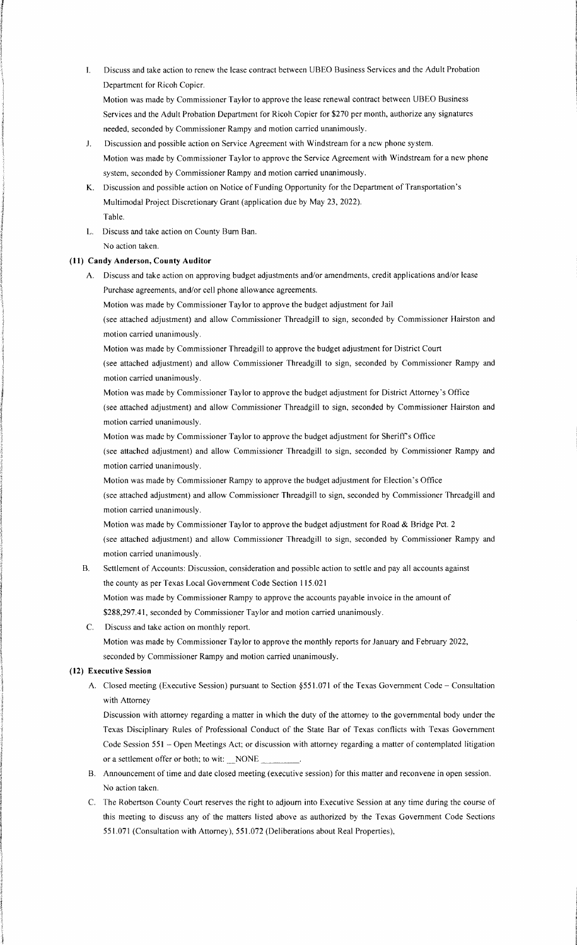I. Discuss and take action to renew the lease contract between UBEO Business Services and the Adult Probation Department for Ricoh Copier.

Motion was made by Commissioner Taylor to approve the lease renewal contract between UBEO Business Services and the Adult Probation Department for Ricoh Copier for \$270 per month, authorize any signatures needed, seconded by Commissioner Rampy and motion carried unanimously.

- J. Discussion and possible action on Service Agreement with Windstream for a new phone system. Motion was made by Commissioner Taylor to approve the Service Agreement with Windstream for a new phone system, seconded by Commissioner Rampy and motion carried unanimously.
- K. Discussion and possible action on Notice of Funding Opportunity for the Department of Transportation's Multimodal Project Discretionary Grant (application due by May 23, 2022). Table.
- L. Discuss and take action on County Bum Ban. No action taken.

### **(II) Candy Anderson, County Auditor**

A. Discuss and take action on approving budget adjustments and/or amendments, credit applications and/or lease Purchase agreements, and/or cell phone allowance agreements.

Motion was made by Commissioner Taylor to approve the budget adjustment for Jail

(see attached adjustment) and allow Commissioner Threadgill to sign, seconded by Commissioner Hairston and motion carried unanimously.

Motion was made by Commissioner Threadgill to approve the budget adjustment for District Court

(see attached adjustment) and allow Commissioner Threadgill to sign, seconded by Commissioner Rampy and motion carried unanimously.

Motion was made by Commissioner Taylor to approve the budget adjustment for District Attorney's Office

(see attached adjustment) and allow Commissioner Threadgill to sign, seconded by Commissioner Hairston and motion carried unanimously.

Motion was made by Commissioner Taylor to approve the budget adjustment for Sheriff's Office

(see attached adjustment) and allow Commissioner Threadgill to sign, seconded by Commissioner Rampy and motion carried unanimously.

Motion was made by Commissioner Rampy to approve the budget adjustment for Election's Office

(see attached adjustment) and allow Commissioner Threadgill to sign, seconded by Commissioner Threadgill and motion carried unanimously.

Motion was made by Commissioner Taylor to approve the budget adjustment for Road & Bridge Pct. 2 (see attached adjustment) and allow Commissioner Threadgill to sign, seconded by Commissioner Rampy and motion carried unanimously.

B. Settlement of Accounts: Discussion, consideration and possible action to settle and pay all accounts against the county as per Texas Local Government Code Section 115.021

Motion was made by Commissioner Rampy to approve the accounts payable invoice in the amount of \$288,297.41, seconded by Commissioner Taylor and motion carried unanimously.

C. Discuss and take action on monthly report.

Motion was made by Commissioner Taylor to approve the monthly reports for January and February 2022, seconded by Commissioner Rampy and motion carried unanimously.

### **(12) Executive Session**

A. Closed meeting (Executive Session) pursuant to Section §551.071 of the Texas Government Code - Consultation with Attorney

Discussion with attorney regarding a matter in which the duty of the attorney to the governmental body under the Texas Disciplinary Rules of Professional Conduct of the State Bar of Texas conflicts with Texas Government Code Session 551 - Open Meetings Act; or discussion with attorney regarding a matter of contemplated litigation or a settlement offer or both; to wit: NONE

- B. Announcement of time and date closed meeting (executive session) for this matter and reconvene in open session. No action taken.
- C. The Robertson County Court reserves the right to adjourn into Executive Session at any time during the course of this meeting to discuss any of the matters listed above as authorized by the Texas Government Code Sections 551.071 (Consultation with Attorney), 551.072 (Deliberations about Real Properties),